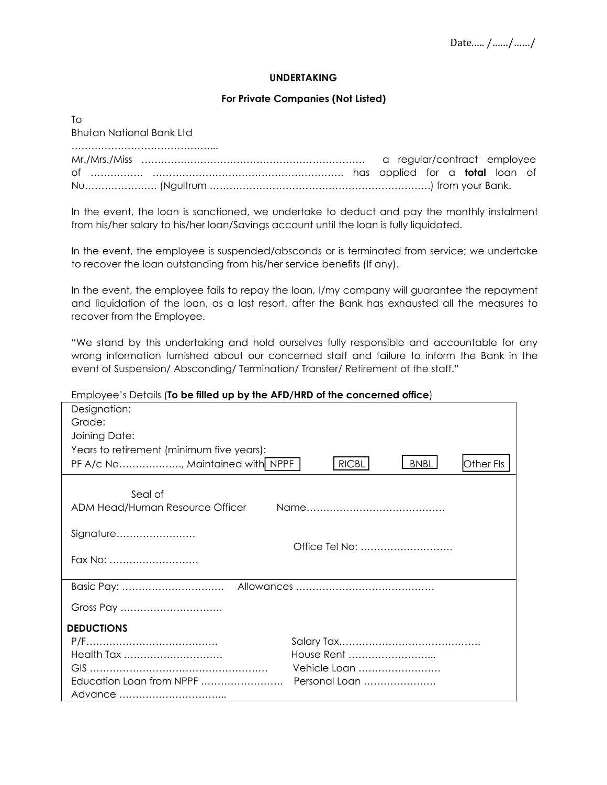## **UNDERTAKING**

## **For Private Companies (Not Listed)**

| To                       |  |
|--------------------------|--|
| Bhutan National Bank Ltd |  |
|                          |  |
|                          |  |
|                          |  |
|                          |  |

In the event, the loan is sanctioned, we undertake to deduct and pay the monthly instalment from his/her salary to his/her loan/Savings account until the loan is fully liquidated.

In the event, the employee is suspended/absconds or is terminated from service; we undertake to recover the loan outstanding from his/her service benefits (If any).

In the event, the employee fails to repay the loan, I/my company will guarantee the repayment and liquidation of the loan, as a last resort, after the Bank has exhausted all the measures to recover from the Employee.

"We stand by this undertaking and hold ourselves fully responsible and accountable for any wrong information furnished about our concerned staff and failure to inform the Bank in the event of Suspension/ Absconding/ Termination/ Transfer/ Retirement of the staff."<br>Emplovee's Details (**To be filled up by the AFD/HRD of the concerned office**)

| Designation:                              |                                          |
|-------------------------------------------|------------------------------------------|
| Grade:                                    |                                          |
| Joining Date:                             |                                          |
| Years to retirement (minimum five years): |                                          |
| PF A/c No, Maintained with NPPF           | <b>RICBL</b><br><b>BNBL</b><br>Other Fls |
|                                           |                                          |
| Seal of                                   |                                          |
| ADM Head/Human Resource Officer           |                                          |
|                                           |                                          |
| Signature                                 |                                          |
|                                           | Office Tel No:                           |
| Fax No:                                   |                                          |
|                                           |                                          |
|                                           |                                          |
| Gross Pay                                 |                                          |
|                                           |                                          |
| <b>DEDUCTIONS</b>                         |                                          |
|                                           |                                          |
| Health Tax                                | House Rent                               |
|                                           | Vehicle Loan                             |
| Education Loan from NPPF                  | Personal Loan                            |
|                                           |                                          |